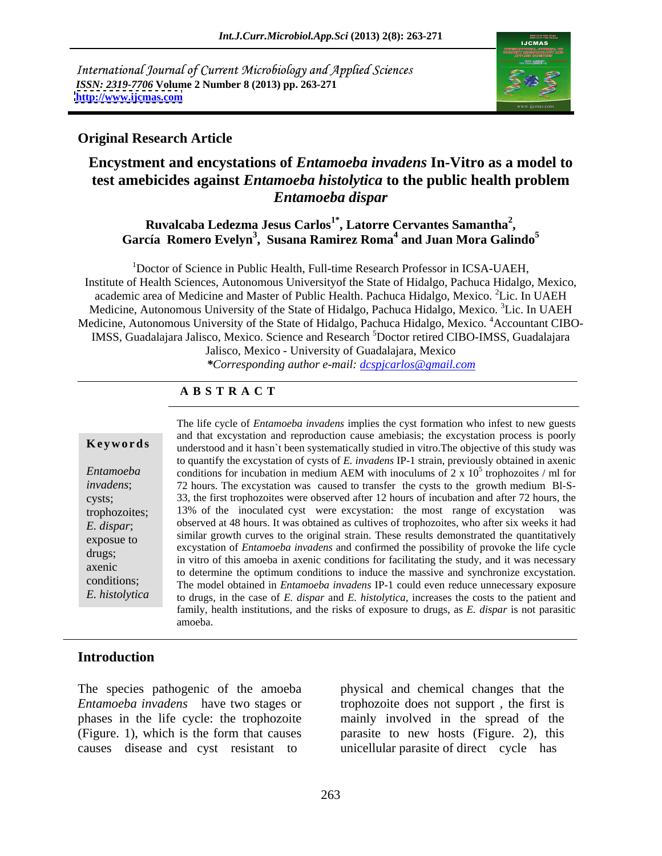International Journal of Current Microbiology and Applied Sciences *ISSN: 2319-7706* **Volume 2 Number 8 (2013) pp. 263-271 <http://www.ijcmas.com>**



#### **Original Research Article**

# **Encystment and encystations of** *Entamoeba invadens* **In-Vitro as a model to test amebicides against** *Entamoeba histolytica* **to the public health problem**  *Entamoeba dispar*

#### **Ruvalcaba Ledezma Jesus Carlos1\* , Latorre Cervantes Samantha2** Ruvalcaba Ledezma Jesus Carlos<sup>1</sup><sup>\*</sup>, Latorre Cervantes Samantha<sup>2</sup>,<br>García Romero Evelyn<sup>3</sup>, Susana Ramirez Roma<sup>4</sup> and Juan Mora Galindo<sup>5</sup>

1Doctor of Science in Public Health, Full-time Research Professor in ICSA-UAEH, Institute of Health Sciences, Autonomous Universityof the State of Hidalgo, Pachuca Hidalgo, Mexico, academic area of Medicine and Master of Public Health. Pachuca Hidalgo, Mexico. <sup>2</sup>Lic. In UAEH Medicine, Autonomous University of the State of Hidalgo, Pachuca Hidalgo, Mexico. <sup>3</sup>Lic. In UAEH Medicine, Autonomous University of the State of Hidalgo, Pachuca Hidalgo, Mexico. <sup>4</sup>Accountant CIBO-IMSS, Guadalajara Jalisco, Mexico. Science and Research <sup>5</sup>Doctor retired CIBO-IMSS, Guadalajara Jalisco, Mexico - University of Guadalajara, Mexico

*\*Corresponding author e-mail: dcspjcarlos@gmail.com*

## **A B S T R A C T**

| Keywords |  |  |  |
|----------|--|--|--|
|----------|--|--|--|

**Keywords** understood and it hasn't been systematically studied in vitro. The objective of this study was *Entamoeba* conditions for incubation in medium AEM with inoculums of 2 x  $10^5$  trophozoites / ml for *invadens*; 72 hours. The excystation was caused to transfer the cysts to the growth medium Bl-S cysts; 33, the first trophozoites were observed after 12 hours of incubation and after 72 hours, the trophozoites; 13% of the inoculated cyst were excystation: the most range of excystation was *E. dispar*; observed at 48 hours. It was obtained as cultives of trophozoites, who after six weeks it had exposue to similar growth curves to the original strain. These results demonstrated the quantitatively drugs;<br>in vitro of this amoeba in axenic conditions for facilitating the study, and it was necessary<br>and it was necessary axenic<br>to determine the optimum conditions to induce the massive and synchronize excystation. conditions; The model obtained in *Entamoeba invadens* IP-1 could even reduce unnecessary exposure *E. histolytica* to drugs, in the case of *E. dispar* and *E. histolytica*, increases the costs to the patient and family, health institutions, and the risks of exposure to drugs, as *E. dispar* is not parasitic The life cycle of *Entamoeba invadens* implies the cyst formation who infest to new guests and that excystation and reproduction cause amebiasis; the excystation process is poorly to quantify the excystation of cysts of *E. invadens* IP-1 strain, previously obtained in axenic  $5$  transposited  $/ml$  for trophozoites / ml for excystation of *Entamoeba invadens* and confirmed the possibility of provoke the life cycle amoeba.

## **Introduction**

The species pathogenic of the amoeba physical and chemical changes that the (Figure. 1), which is the form that causes

*Entamoeba invadens* have two stages or trophozoite does not support , the first is phases in the life cycle: the trophozoite mainly involved in the spread of the The species pathogenic of the amoeba<br> *Entamoeba invadens* have two stages or<br>
phases in the life cycle: the trophozoite<br>
(Figure. 1), which is the form that causes<br>
causes disease and cyst resistant to<br>
parasite to new ho parasite to new hosts (Figure. 2), this unicellular parasite of direct cycle has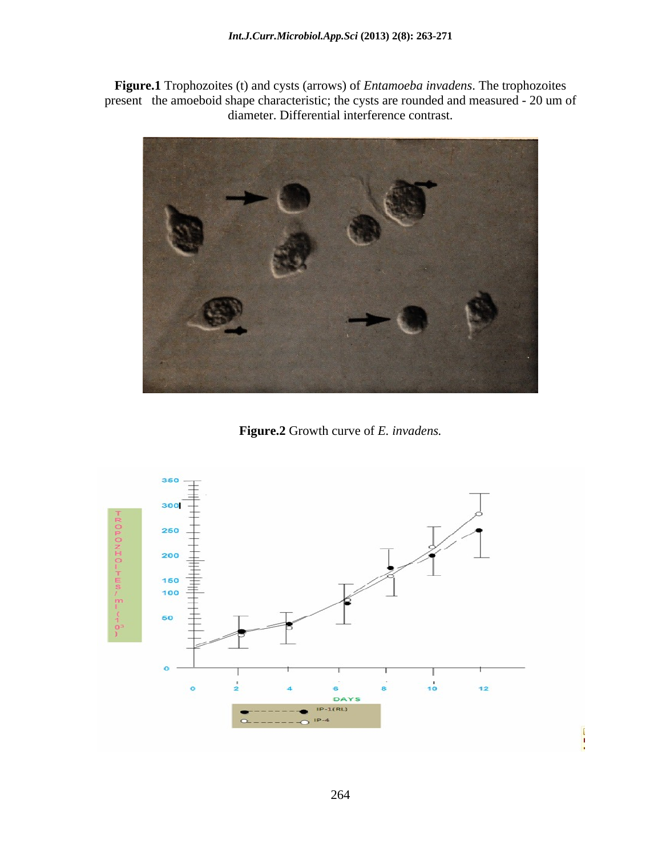**Figure.1** Trophozoites (t) and cysts (arrows) of *Entamoeba invadens*. The trophozoites present the amoeboid shape characteristic; the cysts are rounded and measured - 20 um of diameter. Differential interference contrast.



**Figure.2** Growth curve of *E. invadens.*

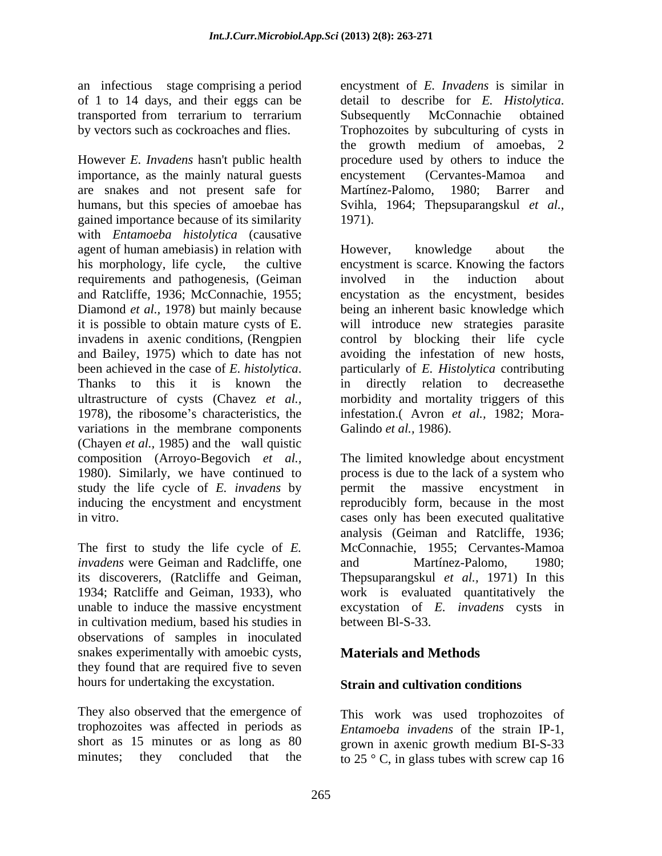of 1 to 14 days, and their eggs can be detail to describe for E. Histolytica. transported from terrarium to terrarium Subsequently McConnachie obtained

However *E. Invadens* hasn't public health importance, as the mainly natural guests encystement (Cervantes-Mamoa and are snakes and not present safe for Martínez-Palomo, 1980; Barrer and humans, but this species of amoebae has Svihla, 1964; Thepsuparangskul *et al.,* gained importance because of its similarity with *Entamoeba histolytica* (causative agent of human amebiasis) in relation with However, knowledge about the requirements and pathogenesis, (Geiman variations in the membrane components (Chayen *et al.,* 1985) and the wall quistic composition (Arroyo-Begovich *et al.,* The limited knowledge about encystment 1980). Similarly, we have continued to process is due to the lack of a system who study the life cycle of *E. invadens* by permit the massive encystment in inducing the encystment and encystment

*invadens* were Geiman and Radcliffe, one and Martínez-Palomo, 1980; 1934; Ratcliffe and Geiman, 1933), who in cultivation medium, based his studies in observations of samples in inoculated snakes experimentally with amoebic cysts, **Materials and Methods** they found that are required five to seven hours for undertaking the excystation.

They also observed that the emergence of trophozoites was affected in periods as *Entamoeba invadens* of the strain IP-1, short as 15 minutes or as long as 80 grown in axenic growth medium BI-S-33

an infectious stage comprising a period encystment of *E. Invadens* is similar in by vectors such as cockroaches and flies. Trophozoites by subculturing of cysts in detail to describe for *E. Histolytica*. Subsequently McConnachie obtained the growth medium of amoebas, 2 procedure used by others to induce the encystement (Cervantes-Mamoa and Martínez-Palomo, 1980; Barrer and 1971).

his morphology, life cycle, the cultive encystment is scarce. Knowing the factors and Ratcliffe, 1936; McConnachie, 1955; encystation as the encystment, besides Diamond *et al.,* 1978) but mainly because being an inherent basic knowledge which it is possible to obtain mature cysts of E. will introduce new strategies parasite invadens in axenic conditions, (Rengpien control by blocking their life cycle and Bailey, 1975) which to date has not avoiding the infestation of new hosts, been achieved in the case of *E. histolytica*. In particularly of *E. Histolytica* contributing<br>Thanks to this it is known the in directly relation to decrease the ultrastructure of cysts (Chavez *et al.,* morbidity and mortality triggers of this 1978), the ribosome's characteristics, the infestation. (Avron *et al.*, 1982; Mora-However, knowledge about the involved in the induction about particularly of *E. Histolytica* contributing in directly relation to decreasethe Galindo *et al.,* 1986).

in vitro. cases only has been executed qualitative The first to study the life cycle of *E.*  McConnachie, 1955; Cervantes-Mamoa its discoverers, (Ratcliffe and Geiman, Thepsuparangskul *et al.,* 1971) In this unable to induce the massive encystment excystation of *E. invadens* cysts in reproducibly form, because in the most analysis (Geiman and Ratcliffe, 1936; and Martínez-Palomo, 1980; work is evaluated quantitatively the between Bl-S-33.

# **Materials and Methods**

## **Strain and cultivation conditions**

minutes; they concluded that the to  $25 \degree C$ , in glass tubes with screw cap 16 This work was used trophozoites of grown in axenic growth medium BI-S-33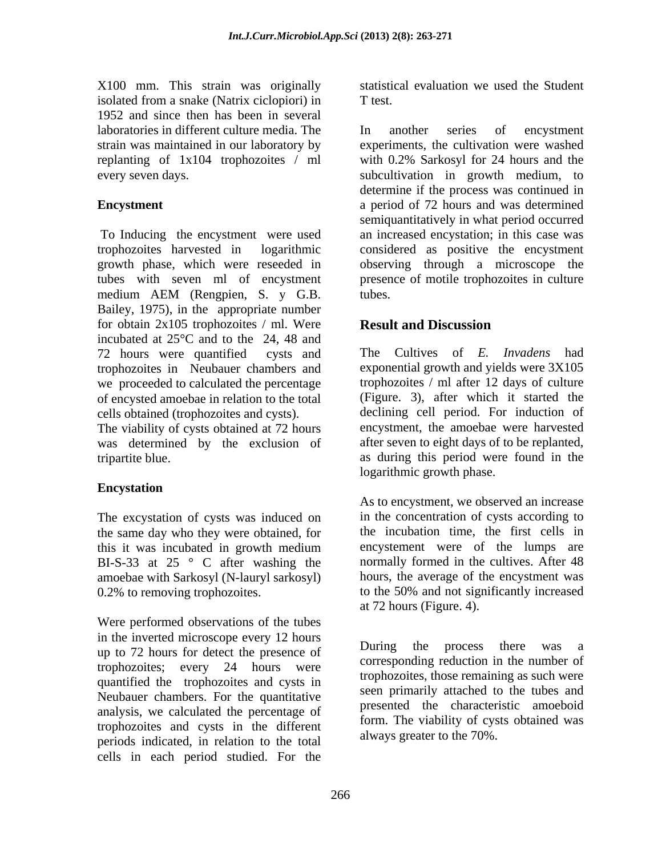X100 mm. This strain was originally isolated from a snake (Natrix ciclopiori) in 1952 and since then has been in several laboratories in different culture media. The replanting of 1x104 trophozoites / ml

tubes with seven ml of encystment Bailey, 1975), in the appropriate number for obtain 2x105 trophozoites / ml. Were **Result and Discussion** incubated at 25°C and to the 24, 48 and 72 hours were quantified cysts and The Cultives of *E. Invadens* had trophozoites in Neubauer chambers and we proceeded to calculated the percentage of encysted amoebae in relation to the total cells obtained (trophozoites and cysts).

The viability of cysts obtained at 72 hours was determined by the exclusion of

## **Encystation**

The excystation of cysts was induced on the same day who they were obtained, for<br>this it was incubated in growth medium BI-S-33 at 25 ° C after washing the amoebae with Sarkosyl (N-lauryl sarkosyl)

Were performed observations of the tubes in the inverted microscope every 12 hours<br>up to 72 hours for datast the greeness of During the process there was a up to 72 hours for detect the presence of trophozoites; every 24 hours were quantified the trophozoites and cysts in Neubauer chambers. For the quantitative analysis, we calculated the percentage of trophozoites and cysts in the different periods indicated, in relation to the total cells in each period studied. For the

statistical evaluation we used the Student T test.

strain was maintained in our laboratory by experiments, the cultivation were washed every seven days. subcultivation in growth medium, to **Encystment** a period of 72 hours and was determined To Inducing the encystment were used an increased encystation; in this case was trophozoites harvested in logarithmic considered as positive the encystment growth phase, which were reseeded in observing through a microscope the medium AEM (Rengpien, S. y G.B. In another series of encystment with 0.2% Sarkosyl for 24 hours and the determine if the process was continued in semiquantitatively in what period occurred presence of motile trophozoites in culture tubes.

# **Result and Discussion**

tripartite blue. as during this period were found in the exponential growth and yields were 3X105 trophozoites / ml after 12 days of culture (Figure. 3), after which it started the declining cell period. For induction of encystment, the amoebae were harvested after seven to eight days of to be replanted, logarithmic growth phase.

this it was incubated in growth medium 0.2% to removing trophozoites. to the 50% and not significantly increased As to encystment, we observed an increase in the concentration of cysts according to the incubation time, the first cells in encystement were of the lumps are normally formed in the cultives. After 48 hours, the average of the encystment was at 72 hours (Figure. 4).

> During the process there was a corresponding reduction in the number of trophozoites, those remaining as such were seen primarily attached to the tubes and presented the characteristic amoeboid form. The viability of cysts obtained was always greater to the 70%.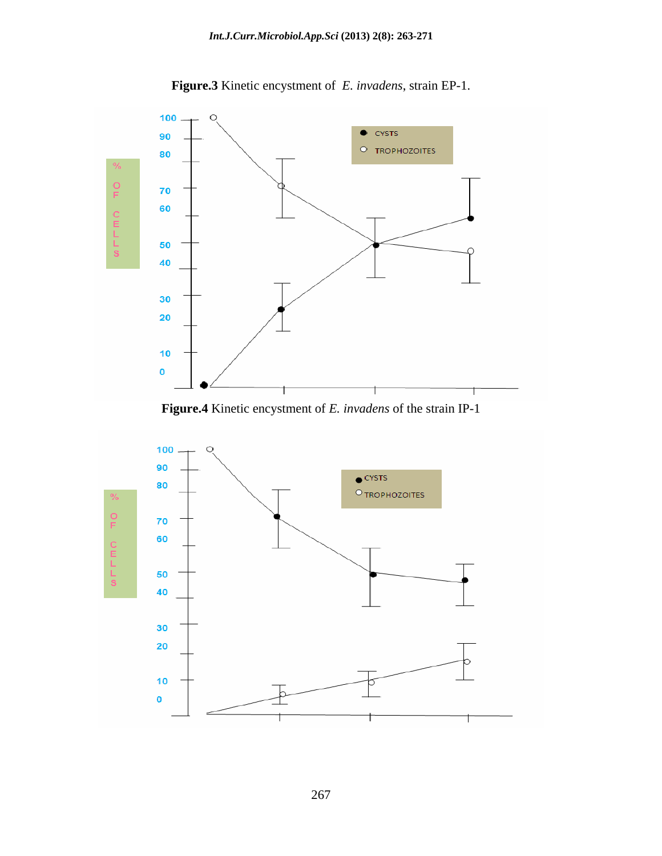

**Figure.3** Kinetic encystment of *E. invadens*, strain EP-1.



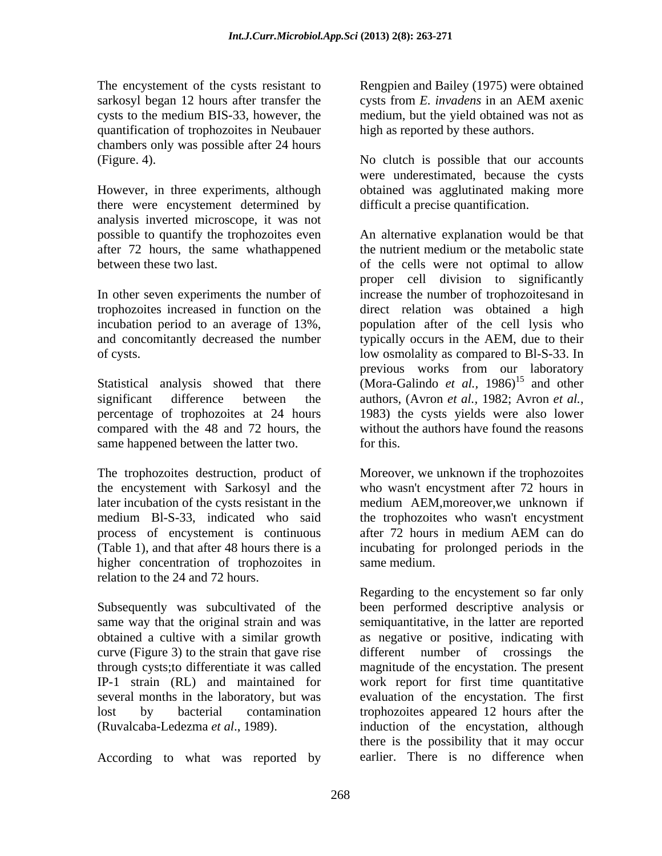sarkosyl began 12 hours after transfer the cysts from E. invadens in an AEM axenic cysts to the medium BIS-33, however, the quantification of trophozoites in Neubauer chambers only was possible after 24 hours

However, in three experiments, although obtained was agglutinated making more there were encystement determined by analysis inverted microscope, it was not after 72 hours, the same whathappened the nutrient medium or the metabolic state

compared with the 48 and 72 hours, the same happened between the latter two. The for this.

The trophozoites destruction, product of Moreover, we unknown if the trophozoites the encystement with Sarkosyl and the later incubation of the cysts resistant in the medium AEM,moreover,we unknown if medium Bl-S-33, indicated who said the trophozoites who wasn't encystment process of encystement is continuous after 72 hours in medium AEM can do (Table 1), and that after 48 hours there is a incubating for prolonged periods in the higher concentration of trophozoites in same medium. relation to the 24 and 72 hours.

Subsequently was subcultivated of the curve (Figure 3) to the strain that gave rise

According to what was reported by

The encystement of the cysts resistant to Rengpien and Bailey (1975) were obtained cysts from *E. invadens* in an AEM axenic medium, but the yield obtained was not as high as reported by these authors.

(Figure. 4). No clutch is possible that our accounts were underestimated, because the cysts difficult a precise quantification.

possible to quantify the trophozoites even An alternative explanation would be that between these two last.  $\qquad \qquad$  of the cells were not optimal to allow In other seven experiments the number of increase the number of trophozoitesand in trophozoites increased in function on the direct relation was obtained a high incubation period to an average of 13%, population after of the cell lysis who and concomitantly decreased the number typically occurs in the AEM, due to their of cysts. low osmolality as compared to Bl-S-33. In Statistical analysis showed that there (Mora-Galindo *et al.*, 1986)<sup>15</sup> and other significant difference between the authors, (Avron *et al.,* 1982; Avron *et al.,* percentage of trophozoites at 24 hours 1983) the cysts yields were also lower the nutrient medium or the metabolic state proper cell division to significantly previous works from our laboratory and other without the authors have found the reasons for this.

> who wasn't encystment after 72 hours in after 72 hours in medium AEM can do same medium.

same way that the original strain and was semiquantitative, in the latter are reported obtained a cultive with a similar growth as negative or positive, indicating with through cysts;to differentiate it was called magnitude of the encystation. The present IP-1 strain (RL) and maintained for work report for first time quantitative several months in the laboratory, but was evaluation of the encystation. The first lost by bacterial contamination trophozoites appeared 12 hours after the (Ruvalcaba-Ledezma *et al*., 1989). induction of the encystation, although Regarding to the encystement so far only been performed descriptive analysis or different number of crossings there is the possibility that it may occur earlier. There is no difference when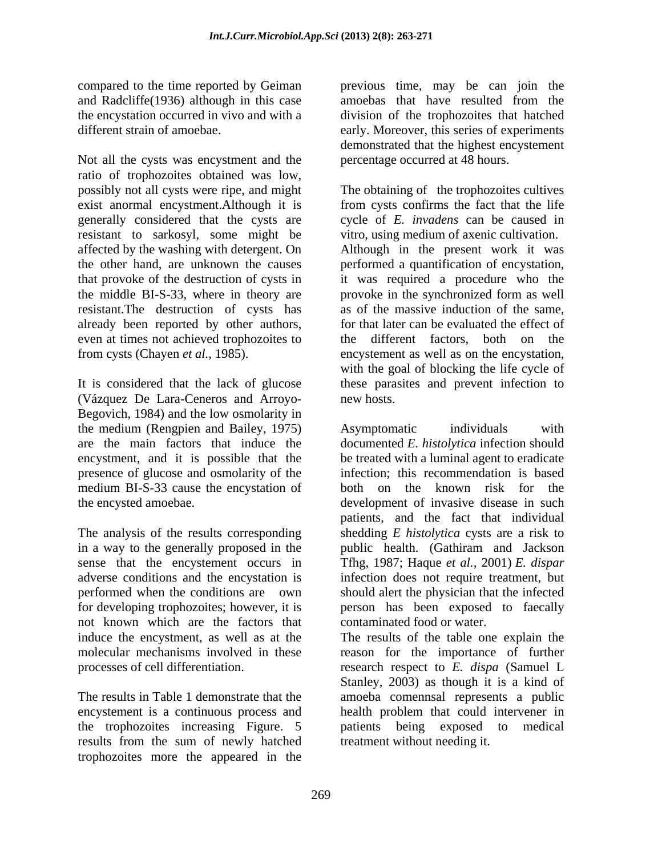and Radcliffe(1936) although in this case amoebas that have resulted from the the encystation occurred in vivo and with a division of the trophozoites that hatched

Not all the cysts was encystment and the ratio of trophozoites obtained was low, possibly not all cysts were ripe, and might The obtaining of the trophozoites cultives exist anormal encystment.Although it is generally considered that the cysts are resistant to sarkosyl, some might be affected by the washing with detergent. On Although in the present work it was the other hand, are unknown the causes performed a quantification of encystation, that provoke of the destruction of cysts in it was required a procedure who the the middle BI-S-33, where in theory are provoke in the synchronized form as well resistant.The destruction of cysts has already been reported by other authors, even at times not achieved trophozoites to from cysts (Chayen *et al.,* 1985). encystement as well as on the encystation,

It is considered that the lack of glucose these parasites and prevent infection to (Vázquez De Lara-Ceneros and Arroyo- Begovich, 1984) and the low osmolarity in the medium (Rengpien and Bailey, 1975) presence of glucose and osmolarity of the medium BI-S-33 cause the encystation of

not known which are the factors that

encystement is a continuous process and the trophozoites increasing Figure. 5 results from the sum of newly hatched trophozoites more the appeared in the

compared to the time reported by Geiman previous time, may be can join the the encystation occurred in vivo and with a division of the trophozoites that hatched different strain of amoebae. early. Moreover, this series of experiments amoebas that have resulted from the demonstrated that the highest encystement percentage occurred at 48 hours.

> from cysts confirms the fact that the life cycle of *E. invadens* can be caused in vitro, using medium of axenic cultivation. provoke in the synchronized form as well as of the massive induction of the same, for that later can be evaluated the effect of the different factors, both on the with the goal of blocking the life cycle of new hosts.

are the main factors that induce the documented *E. histolytica* infection should encystment, and it is possible that the be treated with a luminal agent to eradicate the encysted amoebae. development of invasive disease in such The analysis of the results corresponding shedding *E histolytica* cysts are a risk to in a way to the generally proposed in the public health. (Gathiram and Jackson sense that the encystement occurs in Tfhg, 1987; Haque *et al.,* 2001) *E. dispar* adverse conditions and the encystation is infection does not require treatment, but performed when the conditions are own should alert the physician that the infected for developing trophozoites; however, it is person has been exposed to faecally Asymptomatic individuals with infection; this recommendation is based both on the known risk for the patients, and the fact that individual contaminated food or water.

induce the encystment, as well as at the The results of the table one explain the molecular mechanisms involved in these reason for the importance of further processes of cell differentiation. research respect to *E. dispa* (Samuel L The results in Table 1 demonstrate that the amoeba comennsal represents a public Stanley, 2003) as though it is a kind of health problem that could intervener in patients being exposed to treatment without needing it.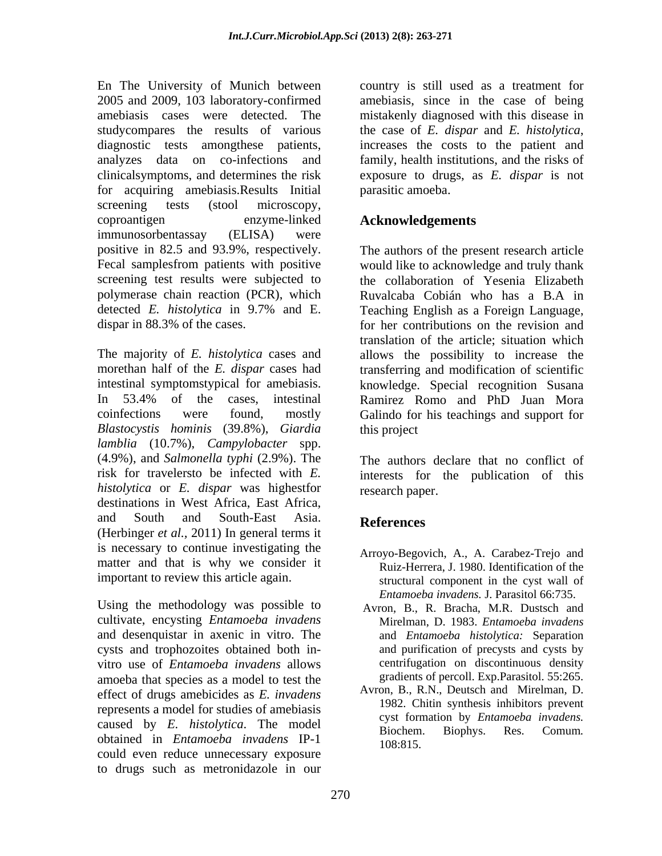En The University of Munich between country is still used as a treatment for 2005 and 2009, 103 laboratory-confirmed amebiasis, since in the case of being amebiasis cases were detected. The mistakenly diagnosed with this disease in studycompares the results of various the case of E. dispar and E. histolytica, diagnostic tests among these patients, increases the costs to the patient and analyzes data on co-infections and family, health institutions, and the risks of clinicalsymptoms, and determines the risk exposure to drugs, as *E. dispar* is not for acquiring amebiasis.Results Initial screening tests (stool microscopy, coproantigen enzyme-linked **Acknowledgements** immunosorbentassay (ELISA) were positive in 82.5 and 93.9%, respectively. Fecal samplesfrom patients with positive would like to acknowledge and truly thank screening test results were subjected to the collaboration of Yesenia Elizabeth polymerase chain reaction (PCR), which Ruvalcaba Cobián who has a B.A in detected *E. histolytica* in 9.7% and E.

The majority of *E. histolytica* cases and morethan half of the *E. dispar* cases had transferring and modification of scientific intestinal symptomstypical for amebiasis. knowledge. Special recognition Susana In 53.4% of the cases, intestinal Ramirez Romo and PhD Juan Mora coinfections were found, mostly Galindo for his teachings and support for *Blastocystis hominis* (39.8%), *Giardia lamblia* (10.7%), *Campylobacter* spp. (4.9%), and *Salmonella typhi* (2.9%). The risk for travelersto be infected with *E.*  interests for the publication of this *histolytica* or *E. dispar* was highestfor destinations in West Africa, East Africa, and South and South-East Asia. **References** (Herbinger *et al.,* 2011) In general terms it is necessary to continue investigating the matter and that is why we consider it important to review this article again.

Using the methodology was possible to cultivate, encysting *Entamoeba invadens* and desenquistar in axenic in vitro. The cysts and trophozoites obtained both in vitro use of *Entamoeba invadens* allows amoeba that species as a model to test the gradients of percoll. Exp. Parasitol. 55:265.<br>  $\alpha$  Avron, B., R.N., Deutsch and Mirelman, D. effect of drugs amebicides as *E. invadens* Avron, B., R.N., Deutsch and Mirelman, D. and a media for other and invariant and the method of americain and 1982. Chitin synthesis inhibitors prevent represents a model for studies of amebiasis caused by *E. histolytica*. The model eyes formation by *Entambeba invitation*.<br>Biochem. Biophys. Res. Comum. obtained in *Entamoeba invadens* IP-1 could even reduce unnecessary exposure to drugs such as metronidazole in our

the case of *E. dispar* and *E. histolytica*, increases the costs to the patient and parasitic amoeba.

## **Acknowledgements**

dispar in 88.3% of the cases. for her contributions on the revision and The authors of the present research article Teaching English as a Foreign Language, translation of the article; situation which allows the possibility to increase the this project

> The authors declare that no conflict of research paper.

## **References**

- Arroyo-Begovich, A., A. Carabez-Trejo and Ruiz-Herrera, J. 1980. Identification of the structural component in the cyst wall of *Entamoeba invadens.* J. Parasitol 66:735.
- Avron, B., R. Bracha, M.R. Dustsch and Mirelman, D. 1983. *Entamoeba invadens* and *Entamoeba histolytica:* Separation and purification of precysts and cysts by centrifugation on discontinuous density gradients of percoll. Exp.Parasitol. 55:265.
- Avron, B., R.N., Deutsch and Mirelman, D. 1982. Chitin synthesis inhibitors prevent cyst formation by *Entamoeba invadens.* Biochem. Biophys. Res. Comum*.* 108:815.